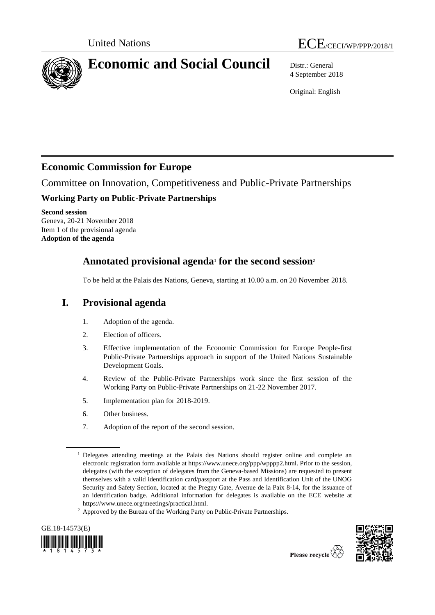



# **Economic and Social Council** Distr.: General

4 September 2018

Original: English

# **Economic Commission for Europe**

Committee on Innovation, Competitiveness and Public-Private Partnerships

# **Working Party on Public-Private Partnerships**

**Second session** Geneva, 20-21 November 2018 Item 1 of the provisional agenda **Adoption of the agenda**

# **Annotated provisional agenda<sup>1</sup> for the second session<sup>2</sup>**

To be held at the Palais des Nations, Geneva, starting at 10.00 a.m. on 20 November 2018.

# **I. Provisional agenda**

- 1. Adoption of the agenda.
- 2. Election of officers.
- 3. Effective implementation of the Economic Commission for Europe People-first Public-Private Partnerships approach in support of the United Nations Sustainable Development Goals.
- 4. Review of the Public-Private Partnerships work since the first session of the Working Party on Public-Private Partnerships on 21-22 November 2017.
- 5. Implementation plan for 2018-2019.
- 6. Other business.
- 7. Adoption of the report of the second session.

<sup>&</sup>lt;sup>2</sup> Approved by the Bureau of the Working Party on Public-Private Partnerships.





<sup>&</sup>lt;sup>1</sup> Delegates attending meetings at the Palais des Nations should register online and complete an electronic registration form available at [https://www.unece.org/ppp/wpppp2.html.](https://www.unece.org/ppp/wpppp2.html) Prior to the session, delegates (with the exception of delegates from the Geneva-based Missions) are requested to present themselves with a valid identification card/passport at the Pass and Identification Unit of the UNOG Security and Safety Section, located at the Pregny Gate, Avenue de la Paix 8-14, for the issuance of an identification badge. Additional information for delegates is available on the ECE website at [https://www.unece.org/meetings/practical.html.](https://www.unece.org/meetings/practical.html)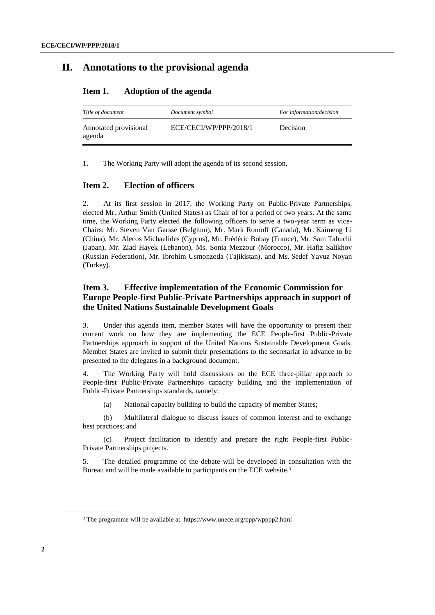## **II. Annotations to the provisional agenda**

| Item 1. |  | <b>Adoption of the agenda</b> |  |
|---------|--|-------------------------------|--|
|---------|--|-------------------------------|--|

| Title of document               | Document symbol        | For information/decision |
|---------------------------------|------------------------|--------------------------|
| Annotated provisional<br>agenda | ECE/CECI/WP/PPP/2018/1 | Decision                 |

1. The Working Party will adopt the agenda of its second session.

#### **Item 2. Election of officers**

2. At its first session in 2017, the Working Party on Public-Private Partnerships, elected Mr. Arthur Smith (United States) as Chair of for a period of two years. At the same time, the Working Party elected the following officers to serve a two-year term as vice-Chairs: Mr. Steven Van Garsse (Belgium), Mr. Mark Romoff (Canada), Mr. Kaimeng Li (China), Mr. Alecos Michaelides (Cyprus), Mr. Frédéric Bobay (France), Mr. Sam Tabuchi (Japan), Mr. Ziad Hayek (Lebanon), Ms. Sonia Mezzour (Morocco), Mr. Hafiz Salikhov (Russian Federation), Mr. Ibrohim Usmonzoda (Tajikistan), and Ms. Sedef Yavuz Noyan (Turkey).

### **Item 3. Effective implementation of the Economic Commission for Europe People-first Public-Private Partnerships approach in support of the United Nations Sustainable Development Goals**

3. Under this agenda item, member States will have the opportunity to present their current work on how they are implementing the ECE People-first Public-Private Partnerships approach in support of the United Nations Sustainable Development Goals. Member States are invited to submit their presentations to the secretariat in advance to be presented to the delegates in a background document.

4. The Working Party will hold discussions on the ECE three-pillar approach to People-first Public-Private Partnerships capacity building and the implementation of Public-Private Partnerships standards, namely:

(a) National capacity building to build the capacity of member States;

(b) Multilateral dialogue to discuss issues of common interest and to exchange best practices; and

(c) Project facilitation to identify and prepare the right People-first Public-Private Partnerships projects.

5. The detailed programme of the debate will be developed in consultation with the Bureau and will be made available to participants on the ECE website.<sup>3</sup>

<sup>3</sup> The programme will be available at: https://www.unece.org/ppp/wpppp2.html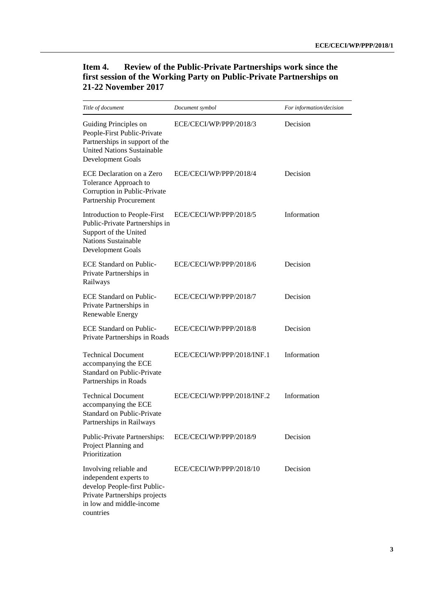### **Item 4. Review of the Public-Private Partnerships work since the first session of the Working Party on Public-Private Partnerships on 21-22 November 2017**

| Title of document                                                                                                                                          | Document symbol            | For information/decision |
|------------------------------------------------------------------------------------------------------------------------------------------------------------|----------------------------|--------------------------|
| Guiding Principles on<br>People-First Public-Private<br>Partnerships in support of the<br><b>United Nations Sustainable</b><br>Development Goals           | ECE/CECI/WP/PPP/2018/3     | Decision                 |
| ECE Declaration on a Zero<br>Tolerance Approach to<br>Corruption in Public-Private<br>Partnership Procurement                                              | ECE/CECI/WP/PPP/2018/4     | Decision                 |
| Introduction to People-First<br>Public-Private Partnerships in<br>Support of the United<br><b>Nations Sustainable</b><br>Development Goals                 | ECE/CECI/WP/PPP/2018/5     | Information              |
| <b>ECE</b> Standard on Public-<br>Private Partnerships in<br>Railways                                                                                      | ECE/CECI/WP/PPP/2018/6     | Decision                 |
| <b>ECE</b> Standard on Public-<br>Private Partnerships in<br>Renewable Energy                                                                              | ECE/CECI/WP/PPP/2018/7     | Decision                 |
| <b>ECE</b> Standard on Public-<br>Private Partnerships in Roads                                                                                            | ECE/CECI/WP/PPP/2018/8     | Decision                 |
| <b>Technical Document</b><br>accompanying the ECE<br>Standard on Public-Private<br>Partnerships in Roads                                                   | ECE/CECI/WP/PPP/2018/INF.1 | Information              |
| <b>Technical Document</b><br>accompanying the ECE<br><b>Standard on Public-Private</b><br>Partnerships in Railways                                         | ECE/CECI/WP/PPP/2018/INF.2 | Information              |
| Public-Private Partnerships:<br>Project Planning and<br>Prioritization                                                                                     | ECE/CECI/WP/PPP/2018/9     | Decision                 |
| Involving reliable and<br>independent experts to<br>develop People-first Public-<br>Private Partnerships projects<br>in low and middle-income<br>countries | ECE/CECI/WP/PPP/2018/10    | Decision                 |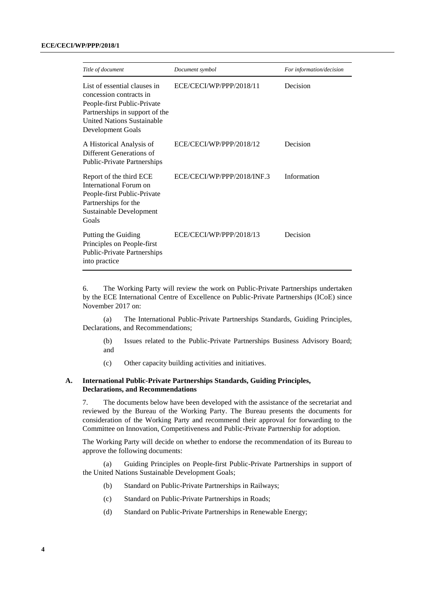| Title of document                                                                                                                                                                  | Document symbol            | For information/decision |
|------------------------------------------------------------------------------------------------------------------------------------------------------------------------------------|----------------------------|--------------------------|
| List of essential clauses in<br>concession contracts in<br>People-first Public-Private<br>Partnerships in support of the<br><b>United Nations Sustainable</b><br>Development Goals | ECE/CECI/WP/PPP/2018/11    | Decision                 |
| A Historical Analysis of<br>Different Generations of<br><b>Public-Private Partnerships</b>                                                                                         | ECE/CECI/WP/PPP/2018/12    | Decision                 |
| Report of the third ECE<br>International Forum on<br>People-first Public-Private<br>Partnerships for the<br>Sustainable Development<br>Goals                                       | ECE/CECI/WP/PPP/2018/INF.3 | Information              |
| Putting the Guiding<br>Principles on People-first<br><b>Public-Private Partnerships</b><br>into practice                                                                           | ECE/CECI/WP/PPP/2018/13    | Decision                 |

6. The Working Party will review the work on Public-Private Partnerships undertaken by the ECE International Centre of Excellence on Public-Private Partnerships (ICoE) since November 2017 on:

(a) The International Public-Private Partnerships Standards, Guiding Principles, Declarations, and Recommendations;

(b) Issues related to the Public-Private Partnerships Business Advisory Board; and

(c) Other capacity building activities and initiatives.

#### **A. International Public-Private Partnerships Standards, Guiding Principles, Declarations, and Recommendations**

7. The documents below have been developed with the assistance of the secretariat and reviewed by the Bureau of the Working Party. The Bureau presents the documents for consideration of the Working Party and recommend their approval for forwarding to the Committee on Innovation, Competitiveness and Public-Private Partnership for adoption.

The Working Party will decide on whether to endorse the recommendation of its Bureau to approve the following documents:

(a) Guiding Principles on People-first Public-Private Partnerships in support of the United Nations Sustainable Development Goals;

- (b) Standard on Public-Private Partnerships in Railways;
- (c) Standard on Public-Private Partnerships in Roads;
- (d) Standard on Public-Private Partnerships in Renewable Energy;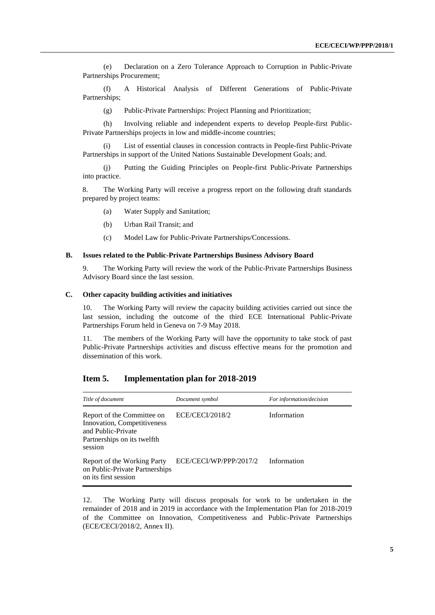(e) Declaration on a Zero Tolerance Approach to Corruption in Public-Private Partnerships Procurement;

(f) A Historical Analysis of Different Generations of Public-Private Partnerships;

(g) Public-Private Partnerships: Project Planning and Prioritization;

(h) Involving reliable and independent experts to develop People-first Public-Private Partnerships projects in low and middle-income countries;

List of essential clauses in concession contracts in People-first Public-Private Partnerships in support of the United Nations Sustainable Development Goals; and.

(j) Putting the Guiding Principles on People-first Public-Private Partnerships into practice.

8. The Working Party will receive a progress report on the following draft standards prepared by project teams:

(a) Water Supply and Sanitation;

- (b) Urban Rail Transit; and
- (c) Model Law for Public-Private Partnerships/Concessions.

#### **B. Issues related to the Public-Private Partnerships Business Advisory Board**

9. The Working Party will review the work of the Public-Private Partnerships Business Advisory Board since the last session.

#### **C. Other capacity building activities and initiatives**

10. The Working Party will review the capacity building activities carried out since the last session, including the outcome of the third ECE International Public-Private Partnerships Forum held in Geneva on 7-9 May 2018.

11. The members of the Working Party will have the opportunity to take stock of past Public-Private Partnerships activities and discuss effective means for the promotion and dissemination of this work.

#### **Item 5. Implementation plan for 2018-2019**

| Title of document                                                                                                         | Document symbol        | For information/decision |
|---------------------------------------------------------------------------------------------------------------------------|------------------------|--------------------------|
| Report of the Committee on<br>Innovation, Competitiveness<br>and Public-Private<br>Partnerships on its twelfth<br>session | ECE/CECI/2018/2        | Information              |
| Report of the Working Party<br>on Public-Private Partnerships<br>on its first session                                     | ECE/CECI/WP/PPP/2017/2 | Information              |

12. The Working Party will discuss proposals for work to be undertaken in the remainder of 2018 and in 2019 in accordance with the Implementation Plan for 2018-2019 of the Committee on Innovation, Competitiveness and Public-Private Partnerships (ECE/CECI/2018/2, Annex II).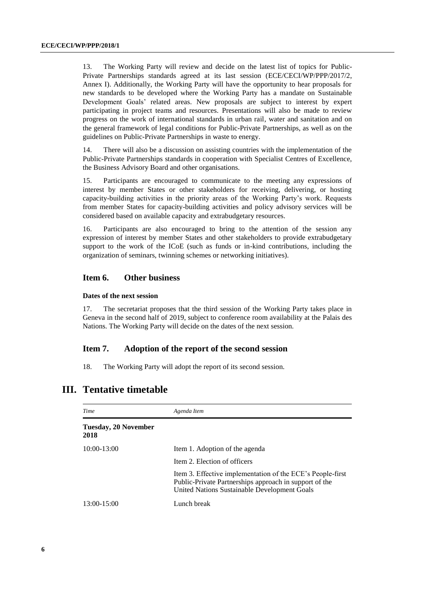13. The Working Party will review and decide on the latest list of topics for Public-Private Partnerships standards agreed at its last session (ECE/CECI/WP/PPP/2017/2, Annex I). Additionally, the Working Party will have the opportunity to hear proposals for new standards to be developed where the Working Party has a mandate on Sustainable Development Goals' related areas. New proposals are subject to interest by expert participating in project teams and resources. Presentations will also be made to review progress on the work of international standards in urban rail, water and sanitation and on the general framework of legal conditions for Public-Private Partnerships, as well as on the guidelines on Public-Private Partnerships in waste to energy.

14. There will also be a discussion on assisting countries with the implementation of the Public-Private Partnerships standards in cooperation with Specialist Centres of Excellence, the Business Advisory Board and other organisations.

15. Participants are encouraged to communicate to the meeting any expressions of interest by member States or other stakeholders for receiving, delivering, or hosting capacity-building activities in the priority areas of the Working Party's work. Requests from member States for capacity-building activities and policy advisory services will be considered based on available capacity and extrabudgetary resources.

16. Participants are also encouraged to bring to the attention of the session any expression of interest by member States and other stakeholders to provide extrabudgetary support to the work of the ICoE (such as funds or in-kind contributions, including the organization of seminars, twinning schemes or networking initiatives).

#### **Item 6. Other business**

#### **Dates of the next session**

17. The secretariat proposes that the third session of the Working Party takes place in Geneva in the second half of 2019, subject to conference room availability at the Palais des Nations. The Working Party will decide on the dates of the next session.

#### **Item 7. Adoption of the report of the second session**

18. The Working Party will adopt the report of its second session.

### **III. Tentative timetable**

| Time                                | Agenda Item                                                                                                                                                          |
|-------------------------------------|----------------------------------------------------------------------------------------------------------------------------------------------------------------------|
| <b>Tuesday, 20 November</b><br>2018 |                                                                                                                                                                      |
| $10:00 - 13:00$                     | Item 1. Adoption of the agenda                                                                                                                                       |
|                                     | Item 2. Election of officers                                                                                                                                         |
|                                     | Item 3. Effective implementation of the ECE's People-first<br>Public-Private Partnerships approach in support of the<br>United Nations Sustainable Development Goals |
| $13:00-15:00$                       | Lunch break                                                                                                                                                          |